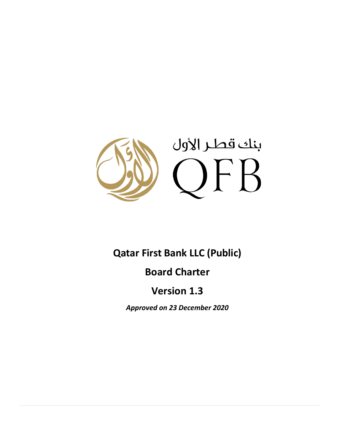

# **Qatar First Bank LLC (Public)**

# **Board Charter**

# **Version 1.3**

*Approved on 23 December 2020*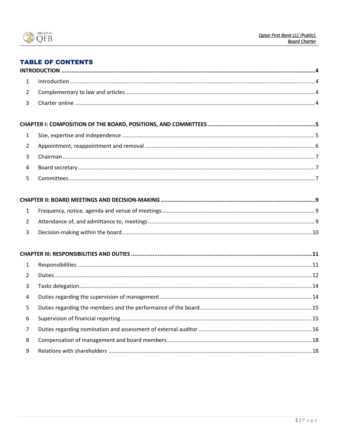

## **TABLE OF CONTENTS**

| $\mathbf{1}$   |  |
|----------------|--|
| $\overline{2}$ |  |
| 3              |  |
|                |  |
| $\mathbf{1}$   |  |
| $\overline{2}$ |  |
| 3              |  |
| $\overline{4}$ |  |
| 5              |  |
|                |  |
| $\mathbf{1}$   |  |
| $\overline{2}$ |  |
| 3              |  |
|                |  |
| $\mathbf{1}$   |  |
| $\overline{2}$ |  |
| 3              |  |
| $\overline{4}$ |  |
| 5              |  |
| 6              |  |
| $\overline{7}$ |  |
| 8              |  |
| 9              |  |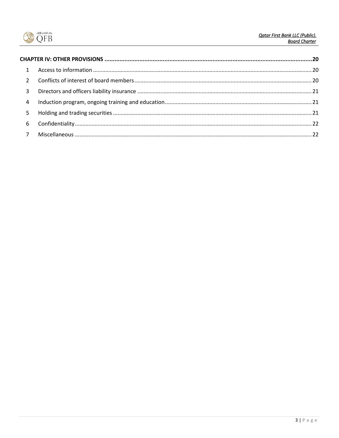

<span id="page-2-0"></span>

| $\mathbf{1}$   |  |
|----------------|--|
| $\mathcal{L}$  |  |
| 3              |  |
| $\overline{4}$ |  |
| 5              |  |
| 6              |  |
| 7 <sup>7</sup> |  |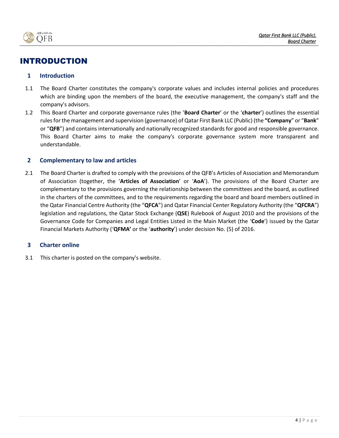

## INTRODUCTION

## <span id="page-3-0"></span>**1 Introduction**

- 1.1 The Board Charter constitutes the company's corporate values and includes internal policies and procedures which are binding upon the members of the board, the executive management, the company's staff and the company's advisors.
- 1.2 This Board Charter and corporate governance rules (the '**Board Charter**' or the '**charter**') outlines the essential rules for the management and supervision (governance) of Qatar First Bank LLC (Public) (the **"Company**" or "**Bank**" or "**QFB**") and contains internationally and nationally recognized standards for good and responsible governance. This Board Charter aims to make the company's corporate governance system more transparent and understandable.

## <span id="page-3-1"></span>**2 Complementary to law and articles**

2.1 The Board Charter is drafted to comply with the provisions of the QFB's Articles of Association and Memorandum of Association (together, the '**Articles of Association**' or '**AoA**'). The provisions of the Board Charter are complementary to the provisions governing the relationship between the committees and the board, as outlined in the charters of the committees, and to the requirements regarding the board and board members outlined in the Qatar Financial Centre Authority (the "**QFCA**") and Qatar Financial Center Regulatory Authority (the "**QFCRA**") legislation and regulations, the Qatar Stock Exchange (**QSE**) Rulebook of August 2010 and the provisions of the Governance Code for Companies and Legal Entities Listed in the Main Market (the '**Code**') issued by the Qatar Financial Markets Authority ('**QFMA'** or the '**authority**') under decision No. (5) of 2016.

## <span id="page-3-2"></span>**3 Charter online**

3.1 This charter is posted on the company's website.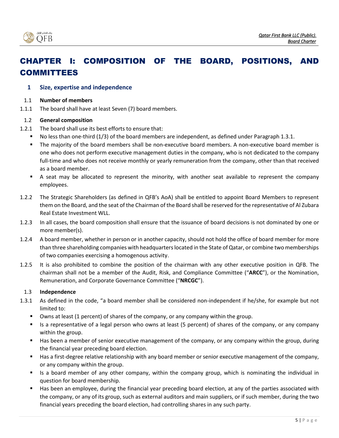

# <span id="page-4-0"></span>CHAPTER I: COMPOSITION OF THE BOARD, POSITIONS, AND COMMITTEES

## <span id="page-4-1"></span>**1 Size, expertise and independence**

#### 1.1 **Number of members**

1.1.1 The board shall have at least Seven (7) board members.

## 1.2 **General composition**

- 1.2.1 The board shall use its best efforts to ensure that:
	- No less than one-third (1/3) of the board members are independent, as defined under Paragraph 1.3.1.
	- The majority of the board members shall be non-executive board members. A non-executive board member is one who does not perform executive management duties in the company, who is not dedicated to the company full-time and who does not receive monthly or yearly remuneration from the company, other than that received as a board member.
	- A seat may be allocated to represent the minority, with another seat available to represent the company employees.
- 1.2.2 The Strategic Shareholders (as defined in QFB's AoA) shall be entitled to appoint Board Members to represent them on the Board, and the seat of the Chairman of the Board shall be reserved for the representative of Al Zubara Real Estate Investment WLL.
- 1.2.3 In all cases, the board composition shall ensure that the issuance of board decisions is not dominated by one or more member(s).
- 1.2.4 A board member, whether in person or in another capacity, should not hold the office of board member for more than three shareholding companies with headquarters located in the State of Qatar, or combine two memberships of two companies exercising a homogenous activity.
- 1.2.5 It is also prohibited to combine the position of the chairman with any other executive position in QFB. The chairman shall not be a member of the Audit, Risk, and Compliance Committee ("**ARCC**"), or the Nomination, Remuneration, and Corporate Governance Committee ("**NRCGC**").

## 1.3 **Independence**

- 1.3.1 As defined in the code, "a board member shall be considered non-independent if he/she, for example but not limited to:
	- Owns at least (1 percent) of shares of the company, or any company within the group.
	- Is a representative of a legal person who owns at least (5 percent) of shares of the company, or any company within the group.
	- Has been a member of senior executive management of the company, or any company within the group, during the financial year preceding board election.
	- Has a first-degree relative relationship with any board member or senior executive management of the company, or any company within the group.
	- Is a board member of any other company, within the company group, which is nominating the individual in question for board membership.
	- Has been an employee, during the financial year preceding board election, at any of the parties associated with the company, or any of its group, such as external auditors and main suppliers, or if such member, during the two financial years preceding the board election, had controlling shares in any such party.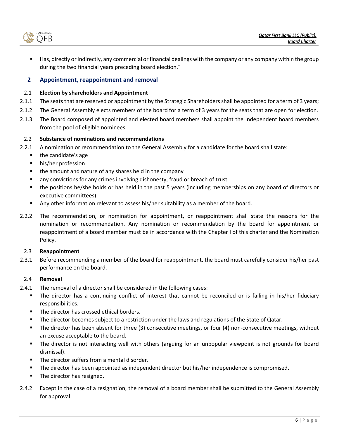.<br>ننك قطر الأول OFB

Has, directly or indirectly, any commercial or financial dealings with the company or any company within the group during the two financial years preceding board election."

## <span id="page-5-0"></span>**2 Appointment, reappointment and removal**

### 2.1 **Election by shareholders and Appointment**

- 2.1.1 The seats that are reserved or appointment by the Strategic Shareholders shall be appointed for a term of 3 years;
- 2.1.2 The General Assembly elects members of the board for a term of 3 years for the seats that are open for election.
- 2.1.3 The Board composed of appointed and elected board members shall appoint the Independent board members from the pool of eligible nominees.

#### 2.2 **Substance of nominations and recommendations**

- 2.2.1 A nomination or recommendation to the General Assembly for a candidate for the board shall state:
	- the candidate's age
	- his/her profession
	- the amount and nature of any shares held in the company
	- any convictions for any crimes involving dishonesty, fraud or breach of trust
	- the positions he/she holds or has held in the past 5 years (including memberships on any board of directors or executive committees)
	- Any other information relevant to assess his/her suitability as a member of the board.
- 2.2.2 The recommendation, or nomination for appointment, or reappointment shall state the reasons for the nomination or recommendation. Any nomination or recommendation by the board for appointment or reappointment of a board member must be in accordance with the Chapter I of this charter and the Nomination Policy.

#### 2.3 **Reappointment**

2.3.1 Before recommending a member of the board for reappointment, the board must carefully consider his/her past performance on the board.

## 2.4 **Removal**

- 2.4.1 The removal of a director shall be considered in the following cases:
	- The director has a continuing conflict of interest that cannot be reconciled or is failing in his/her fiduciary responsibilities.
	- The director has crossed ethical borders.
	- The director becomes subject to a restriction under the laws and regulations of the State of Qatar.
	- The director has been absent for three (3) consecutive meetings, or four (4) non-consecutive meetings, without an excuse acceptable to the board.
	- The director is not interacting well with others (arguing for an unpopular viewpoint is not grounds for board dismissal).
	- The director suffers from a mental disorder.
	- The director has been appointed as independent director but his/her independence is compromised.
	- The director has resigned.
- 2.4.2 Except in the case of a resignation, the removal of a board member shall be submitted to the General Assembly for approval.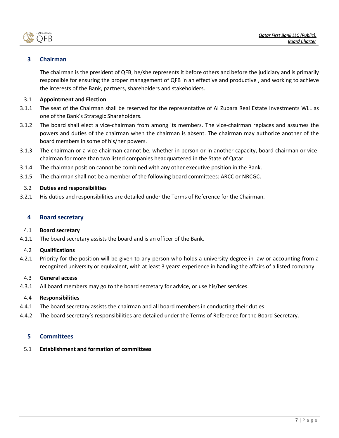بناف قطء الأما OFB

## <span id="page-6-0"></span>**3 Chairman**

The chairman is the president of QFB, he/she represents it before others and before the judiciary and is primarily responsible for ensuring the proper management of QFB in an effective and productive , and working to achieve the interests of the Bank, partners, shareholders and stakeholders.

## 3.1 **Appointment and Election**

- 3.1.1 The seat of the Chairman shall be reserved for the representative of Al Zubara Real Estate Investments WLL as one of the Bank's Strategic Shareholders.
- 3.1.2 The board shall elect a vice-chairman from among its members. The vice-chairman replaces and assumes the powers and duties of the chairman when the chairman is absent. The chairman may authorize another of the board members in some of his/her powers.
- 3.1.3 The chairman or a vice-chairman cannot be, whether in person or in another capacity, board chairman or vicechairman for more than two listed companies headquartered in the State of Qatar.
- 3.1.4 The chairman position cannot be combined with any other executive position in the Bank.
- 3.1.5 The chairman shall not be a member of the following board committees: ARCC or NRCGC.

## 3.2 **Duties and responsibilities**

3.2.1 His duties and responsibilities are detailed under the Terms of Reference for the Chairman.

### <span id="page-6-1"></span>**4 Board secretary**

#### 4.1 **Board secretary**

4.1.1 The board secretary assists the board and is an officer of the Bank.

## 4.2 **Qualifications**

4.2.1 Priority for the position will be given to any person who holds a university degree in law or accounting from a recognized university or equivalent, with at least 3 years' experience in handling the affairs of a listed company.

## 4.3 **General access**

4.3.1 All board members may go to the board secretary for advice, or use his/her services.

#### 4.4 **Responsibilities**

- 4.4.1 The board secretary assists the chairman and all board members in conducting their duties.
- 4.4.2 The board secretary's responsibilities are detailed under the Terms of Reference for the Board Secretary.

## <span id="page-6-2"></span>**5 Committees**

#### 5.1 **Establishment and formation of committees**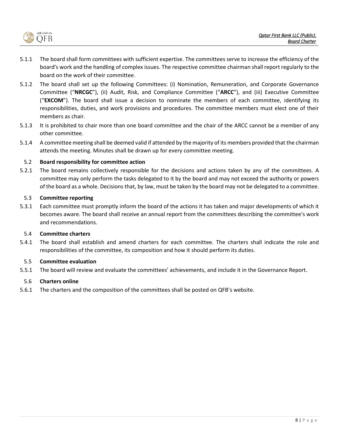

- 5.1.1 The board shall form committees with sufficient expertise. The committees serve to increase the efficiency of the board's work and the handling of complex issues. The respective committee chairman shall report regularly to the board on the work of their committee.
- 5.1.2 The board shall set up the following Committees: (i) Nomination, Remuneration, and Corporate Governance Committee ("**NRCGC**"), (ii) Audit, Risk, and Compliance Committee ("**ARCC**"), and (iii) Executive Committee ("**EXCOM**"). The board shall issue a decision to nominate the members of each committee, identifying its responsibilities, duties, and work provisions and procedures. The committee members must elect one of their members as chair.
- 5.1.3 It is prohibited to chair more than one board committee and the chair of the ARCC cannot be a member of any other committee.
- 5.1.4 A committee meeting shall be deemed valid if attended by the majority of its members provided that the chairman attends the meeting. Minutes shall be drawn up for every committee meeting.

## 5.2 **Board responsibility for committee action**

5.2.1 The board remains collectively responsible for the decisions and actions taken by any of the committees. A committee may only perform the tasks delegated to it by the board and may not exceed the authority or powers of the board as a whole. Decisions that, by law, must be taken by the board may not be delegated to a committee.

## 5.3 **Committee reporting**

5.3.1 Each committee must promptly inform the board of the actions it has taken and major developments of which it becomes aware. The board shall receive an annual report from the committees describing the committee's work and recommendations.

## 5.4 **Committee charters**

5.4.1 The board shall establish and amend charters for each committee. The charters shall indicate the role and responsibilities of the committee, its composition and how it should perform its duties.

## 5.5 **Committee evaluation**

5.5.1 The board will review and evaluate the committees' achievements, and include it in the Governance Report.

## 5.6 **Charters online**

5.6.1 The charters and the composition of the committees shall be posted on QFB's website.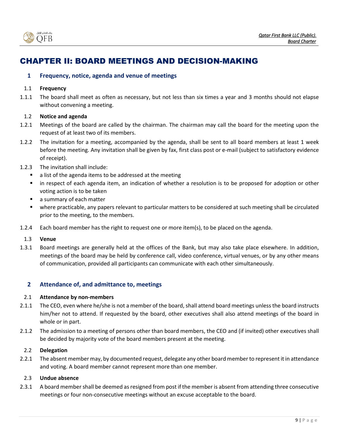

## <span id="page-8-0"></span>CHAPTER II: BOARD MEETINGS AND DECISION-MAKING

## <span id="page-8-1"></span>**1 Frequency, notice, agenda and venue of meetings**

### 1.1 **Frequency**

1.1.1 The board shall meet as often as necessary, but not less than six times a year and 3 months should not elapse without convening a meeting.

## 1.2 **Notice and agenda**

- 1.2.1 Meetings of the board are called by the chairman. The chairman may call the board for the meeting upon the request of at least two of its members.
- 1.2.2 The invitation for a meeting, accompanied by the agenda, shall be sent to all board members at least 1 week before the meeting. Any invitation shall be given by fax, first class post or e-mail (subject to satisfactory evidence of receipt).
- 1.2.3 The invitation shall include:
	- a list of the agenda items to be addressed at the meeting
	- in respect of each agenda item, an indication of whether a resolution is to be proposed for adoption or other voting action is to be taken
	- a summary of each matter
	- where practicable, any papers relevant to particular matters to be considered at such meeting shall be circulated prior to the meeting, to the members.
- 1.2.4 Each board member has the right to request one or more item(s), to be placed on the agenda.

#### 1.3 **Venue**

1.3.1 Board meetings are generally held at the offices of the Bank, but may also take place elsewhere. In addition, meetings of the board may be held by conference call, video conference, virtual venues, or by any other means of communication, provided all participants can communicate with each other simultaneously.

## <span id="page-8-2"></span>**2 Attendance of, and admittance to, meetings**

#### 2.1 **Attendance by non-members**

- 2.1.1 The CEO, even where he/she is not a member of the board, shall attend board meetings unless the board instructs him/her not to attend. If requested by the board, other executives shall also attend meetings of the board in whole or in part.
- 2.1.2 The admission to a meeting of persons other than board members, the CEO and (if invited) other executives shall be decided by majority vote of the board members present at the meeting.

## 2.2 **Delegation**

2.2.1 The absent member may, by documented request, delegate any other board member to represent it in attendance and voting. A board member cannot represent more than one member.

## 2.3 **Undue absence**

2.3.1 A board member shall be deemed as resigned from post if the member is absent from attending three consecutive meetings or four non-consecutive meetings without an excuse acceptable to the board.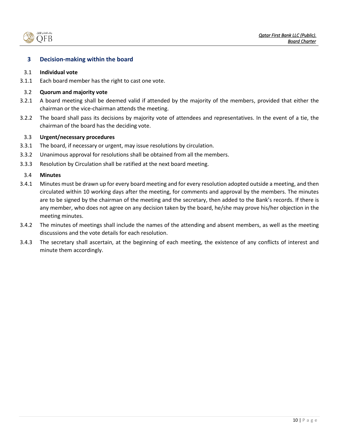

## <span id="page-9-0"></span>**3 Decision-making within the board**

#### 3.1 **Individual vote**

3.1.1 Each board member has the right to cast one vote.

#### 3.2 **Quorum and majority vote**

- 3.2.1 A board meeting shall be deemed valid if attended by the majority of the members, provided that either the chairman or the vice-chairman attends the meeting.
- 3.2.2 The board shall pass its decisions by majority vote of attendees and representatives. In the event of a tie, the chairman of the board has the deciding vote.

## 3.3 **Urgent/necessary procedures**

- 3.3.1 The board, if necessary or urgent, may issue resolutions by circulation.
- 3.3.2 Unanimous approval for resolutions shall be obtained from all the members.
- 3.3.3 Resolution by Circulation shall be ratified at the next board meeting.

#### 3.4 **Minutes**

- 3.4.1 Minutes must be drawn up for every board meeting and for every resolution adopted outside a meeting, and then circulated within 10 working days after the meeting, for comments and approval by the members. The minutes are to be signed by the chairman of the meeting and the secretary, then added to the Bank's records. If there is any member, who does not agree on any decision taken by the board, he/she may prove his/her objection in the meeting minutes.
- 3.4.2 The minutes of meetings shall include the names of the attending and absent members, as well as the meeting discussions and the vote details for each resolution.
- 3.4.3 The secretary shall ascertain, at the beginning of each meeting, the existence of any conflicts of interest and minute them accordingly.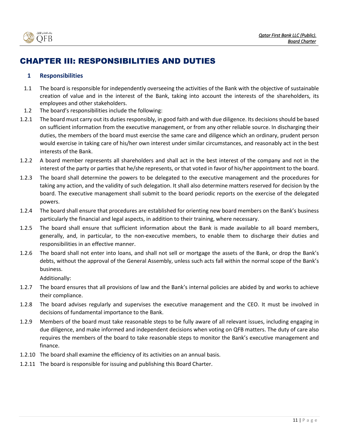

# <span id="page-10-0"></span>CHAPTER III: RESPONSIBILITIES AND DUTIES

## <span id="page-10-1"></span>**1 Responsibilities**

- 1.1 The board is responsible for independently overseeing the activities of the Bank with the objective of sustainable creation of value and in the interest of the Bank, taking into account the interests of the shareholders, its employees and other stakeholders.
- 1.2 The board's responsibilities include the following:
- 1.2.1 The board must carry out its duties responsibly, in good faith and with due diligence. Its decisions should be based on sufficient information from the executive management, or from any other reliable source. In discharging their duties, the members of the board must exercise the same care and diligence which an ordinary, prudent person would exercise in taking care of his/her own interest under similar circumstances, and reasonably act in the best interests of the Bank.
- 1.2.2 A board member represents all shareholders and shall act in the best interest of the company and not in the interest of the party or parties that he/she represents, or that voted in favor of his/her appointment to the board.
- 1.2.3 The board shall determine the powers to be delegated to the executive management and the procedures for taking any action, and the validity of such delegation. It shall also determine matters reserved for decision by the board. The executive management shall submit to the board periodic reports on the exercise of the delegated powers.
- 1.2.4 The board shall ensure that procedures are established for orienting new board members on the Bank's business particularly the financial and legal aspects, in addition to their training, where necessary.
- 1.2.5 The board shall ensure that sufficient information about the Bank is made available to all board members, generally, and, in particular, to the non-executive members, to enable them to discharge their duties and responsibilities in an effective manner.
- 1.2.6 The board shall not enter into loans, and shall not sell or mortgage the assets of the Bank, or drop the Bank's debts, without the approval of the General Assembly, unless such acts fall within the normal scope of the Bank's business.

Additionally:

- 1.2.7 The board ensures that all provisions of law and the Bank's internal policies are abided by and works to achieve their compliance.
- 1.2.8 The board advises regularly and supervises the executive management and the CEO. It must be involved in decisions of fundamental importance to the Bank.
- 1.2.9 Members of the board must take reasonable steps to be fully aware of all relevant issues, including engaging in due diligence, and make informed and independent decisions when voting on QFB matters. The duty of care also requires the members of the board to take reasonable steps to monitor the Bank's executive management and finance.
- 1.2.10 The board shall examine the efficiency of its activities on an annual basis.
- 1.2.11 The board is responsible for issuing and publishing this Board Charter.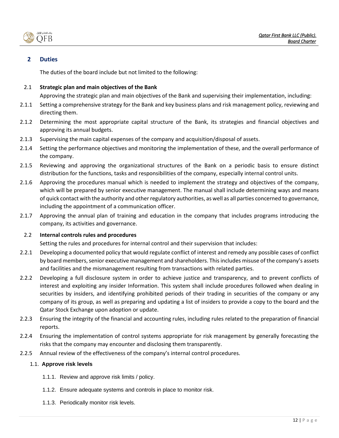

## <span id="page-11-0"></span>**2 Duties**

The duties of the board include but not limited to the following:

## 2.1 **Strategic plan and main objectives of the Bank**

Approving the strategic plan and main objectives of the Bank and supervising their implementation, including:

- 2.1.1 Setting a comprehensive strategy for the Bank and key business plans and risk management policy, reviewing and directing them.
- 2.1.2 Determining the most appropriate capital structure of the Bank, its strategies and financial objectives and approving its annual budgets.
- 2.1.3 Supervising the main capital expenses of the company and acquisition/disposal of assets.
- 2.1.4 Setting the performance objectives and monitoring the implementation of these, and the overall performance of the company.
- 2.1.5 Reviewing and approving the organizational structures of the Bank on a periodic basis to ensure distinct distribution for the functions, tasks and responsibilities of the company, especially internal control units.
- 2.1.6 Approving the procedures manual which is needed to implement the strategy and objectives of the company, which will be prepared by senior executive management. The manual shall include determining ways and means of quick contact with the authority and other regulatory authorities, as well as all parties concerned to governance, including the appointment of a communication officer.
- 2.1.7 Approving the annual plan of training and education in the company that includes programs introducing the company, its activities and governance.

## 2.2 **Internal controls rules and procedures**

Setting the rules and procedures for internal control and their supervision that includes:

- 2.2.1 Developing a documented policy that would regulate conflict of interest and remedy any possible cases of conflict by board members,senior executive management and shareholders. This includes misuse of the company's assets and facilities and the mismanagement resulting from transactions with related parties.
- 2.2.2 Developing a full disclosure system in order to achieve justice and transparency, and to prevent conflicts of interest and exploiting any insider Information. This system shall include procedures followed when dealing in securities by insiders, and identifying prohibited periods of their trading in securities of the company or any company of its group, as well as preparing and updating a list of insiders to provide a copy to the board and the Qatar Stock Exchange upon adoption or update.
- 2.2.3 Ensuring the integrity of the financial and accounting rules, including rules related to the preparation of financial reports.
- 2.2.4 Ensuring the implementation of control systems appropriate for risk management by generally forecasting the risks that the company may encounter and disclosing them transparently.
- 2.2.5 Annual review of the effectiveness of the company's internal control procedures.

## 1.1. **Approve risk levels**

- 1.1.1. Review and approve risk limits / policy.
- 1.1.2. Ensure adequate systems and controls in place to monitor risk.
- 1.1.3. Periodically monitor risk levels.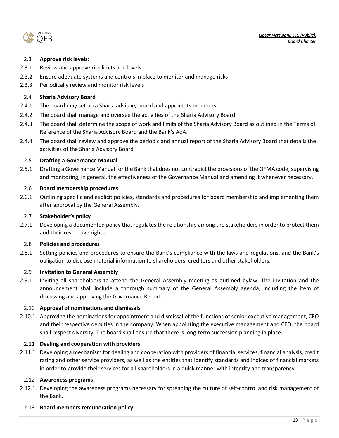بناف قطء الأماء OFB

## 2.3 **Approve risk levels:**

- 2.3.1 Review and approve risk limits and levels
- 2.3.2 Ensure adequate systems and controls in place to monitor and manage risks
- 2.3.3 Periodically review and monitor risk levels

#### 2.4 **Sharia Advisory Board**

- 2.4.1 The board may set up a Sharia advisory board and appoint its members
- 2.4.2 The board shall manage and oversee the activities of the Sharia Advisory Board.
- 2.4.3 The board shall determine the scope of work and limits of the Sharia Advisory Board as outlined in the Terms of Reference of the Sharia Advisory Board and the Bank's AoA.
- 2.4.4 The board shall review and approve the periodic and annual report of the Sharia Advisory Board that details the activities of the Sharia Advisory Board

#### 2.5 **Drafting a Governance Manual**

2.5.1 Drafting a Governance Manual for the Bank that does not contradict the provisions of the QFMA code; supervising and monitoring, in general, the effectiveness of the Governance Manual and amending it whenever necessary.

#### 2.6 **Board membership procedures**

2.6.1 Outlining specific and explicit policies, standards and procedures for board membership and implementing them after approval by the General Assembly.

#### 2.7 **Stakeholder's policy**

2.7.1 Developing a documented policy that regulates the relationship among the stakeholders in order to protect them and their respective rights.

#### 2.8 **Policies and procedures**

2.8.1 Setting policies and procedures to ensure the Bank's compliance with the laws and regulations, and the Bank's obligation to disclose material information to shareholders, creditors and other stakeholders.

#### 2.9 **Invitation to General Assembly**

2.9.1 Inviting all shareholders to attend the General Assembly meeting as outlined bylaw. The invitation and the announcement shall include a thorough summary of the General Assembly agenda, including the item of discussing and approving the Governance Report.

#### 2.10 **Approval of nominations and dismissals**

2.10.1 Approving the nominations for appointment and dismissal of the functions of senior executive management, CEO and their respective deputies in the company. When appointing the executive management and CEO, the board shall respect diversity. The board shall ensure that there is long-term succession planning in place.

#### 2.11 **Dealing and cooperation with providers**

2.11.1 Developing a mechanism for dealing and cooperation with providers of financial services, financial analysis, credit rating and other service providers, as well as the entities that identify standards and indices of financial markets in order to provide their services for all shareholders in a quick manner with integrity and transparency.

#### 2.12 **Awareness programs**

2.12.1 Developing the awareness programs necessary for spreading the culture of self-control and risk management of the Bank.

#### 2.13 **Board members remuneration policy**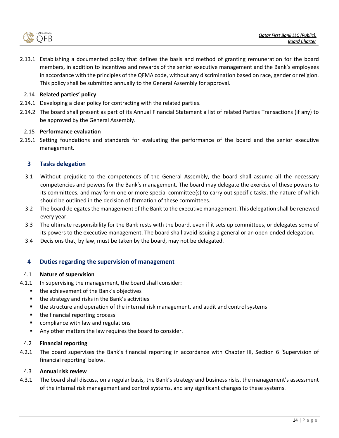

2.13.1 Establishing a documented policy that defines the basis and method of granting remuneration for the board members, in addition to incentives and rewards of the senior executive management and the Bank's employees in accordance with the principles of the QFMA code, without any discrimination based on race, gender or religion. This policy shall be submitted annually to the General Assembly for approval.

## 2.14 **Related parties' policy**

- 2.14.1 Developing a clear policy for contracting with the related parties.
- 2.14.2 The board shall present as part of its Annual Financial Statement a list of related Parties Transactions (if any) to be approved by the General Assembly.

#### 2.15 **Performance evaluation**

2.15.1 Setting foundations and standards for evaluating the performance of the board and the senior executive management.

## <span id="page-13-0"></span>**3 Tasks delegation**

- 3.1 Without prejudice to the competences of the General Assembly, the board shall assume all the necessary competencies and powers for the Bank's management. The board may delegate the exercise of these powers to its committees, and may form one or more special committee(s) to carry out specific tasks, the nature of which should be outlined in the decision of formation of these committees.
- 3.2 The board delegates the management of the Bank to the executive management. This delegation shall be renewed every year.
- 3.3 The ultimate responsibility for the Bank rests with the board, even if it sets up committees, or delegates some of its powers to the executive management. The board shall avoid issuing a general or an open-ended delegation.
- 3.4 Decisions that, by law, must be taken by the board, may not be delegated.

## <span id="page-13-1"></span>**4 Duties regarding the supervision of management**

#### 4.1 **Nature of supervision**

- 4.1.1 In supervising the management, the board shall consider:
	- the achievement of the Bank's objectives
	- the strategy and risks in the Bank's activities
	- the structure and operation of the internal risk management, and audit and control systems
	- the financial reporting process
	- compliance with law and regulations
	- Any other matters the law requires the board to consider.

#### 4.2 **Financial reporting**

4.2.1 The board supervises the Bank's financial reporting in accordance with Chapter III, Section 6 'Supervision of financial reporting' below.

#### 4.3 **Annual risk review**

4.3.1 The board shall discuss, on a regular basis, the Bank's strategy and business risks, the management's assessment of the internal risk management and control systems, and any significant changes to these systems.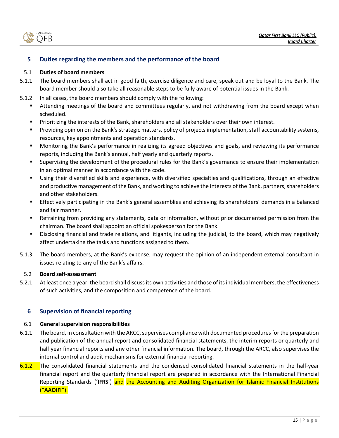.<br>ننك قطر الأول OFB

## <span id="page-14-0"></span>**5 Duties regarding the members and the performance of the board**

## 5.1 **Duties of board members**

- 5.1.1 The board members shall act in good faith, exercise diligence and care, speak out and be loyal to the Bank. The board member should also take all reasonable steps to be fully aware of potential issues in the Bank.
- 5.1.2 In all cases, the board members should comply with the following:
	- Attending meetings of the board and committees regularly, and not withdrawing from the board except when scheduled.
	- Prioritizing the interests of the Bank, shareholders and all stakeholders over their own interest.
	- Providing opinion on the Bank's strategic matters, policy of projects implementation, staff accountability systems, resources, key appointments and operation standards.
	- Monitoring the Bank's performance in realizing its agreed objectives and goals, and reviewing its performance reports, including the Bank's annual, half yearly and quarterly reports.
	- Supervising the development of the procedural rules for the Bank's governance to ensure their implementation in an optimal manner in accordance with the code.
	- Using their diversified skills and experience, with diversified specialties and qualifications, through an effective and productive management of the Bank, and working to achieve the interests of the Bank, partners, shareholders and other stakeholders.
	- **Effectively participating in the Bank's general assemblies and achieving its shareholders' demands in a balanced** and fair manner.
	- Refraining from providing any statements, data or information, without prior documented permission from the chairman. The board shall appoint an official spokesperson for the Bank.
	- Disclosing financial and trade relations, and litigants, including the judicial, to the board, which may negatively affect undertaking the tasks and functions assigned to them.
- 5.1.3 The board members, at the Bank's expense, may request the opinion of an independent external consultant in issues relating to any of the Bank's affairs.

## 5.2 **Board self-assessment**

5.2.1 At least once a year, the board shall discuss its own activities and those of its individual members, the effectiveness of such activities, and the composition and competence of the board.

## <span id="page-14-1"></span>**6 Supervision of financial reporting**

## 6.1 **General supervision responsibilities**

- 6.1.1 The board, in consultation with the ARCC, supervises compliance with documented procedures for the preparation and publication of the annual report and consolidated financial statements, the interim reports or quarterly and half year financial reports and any other financial information. The board, through the ARCC, also supervises the internal control and audit mechanisms for external financial reporting.
- 6.1.2 The consolidated financial statements and the condensed consolidated financial statements in the half-year financial report and the quarterly financial report are prepared in accordance with the International Financial Reporting Standards ('**IFRS**') and the Accounting and Auditing Organization for Islamic Financial Institutions ("**AAOIFI**").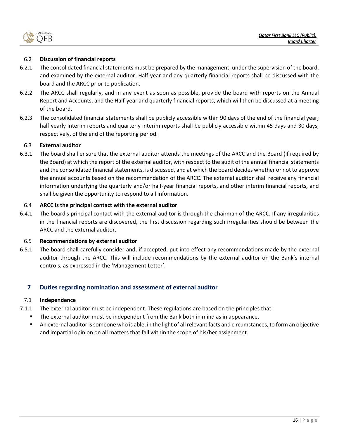

## 6.2 **Discussion of financial reports**

- 6.2.1 The consolidated financial statements must be prepared by the management, under the supervision of the board, and examined by the external auditor. Half-year and any quarterly financial reports shall be discussed with the board and the ARCC prior to publication.
- 6.2.2 The ARCC shall regularly, and in any event as soon as possible, provide the board with reports on the Annual Report and Accounts, and the Half-year and quarterly financial reports, which will then be discussed at a meeting of the board.
- 6.2.3 The consolidated financial statements shall be publicly accessible within 90 days of the end of the financial year; half yearly interim reports and quarterly interim reports shall be publicly accessible within 45 days and 30 days, respectively, of the end of the reporting period.

## 6.3 **External auditor**

6.3.1 The board shall ensure that the external auditor attends the meetings of the ARCC and the Board (if required by the Board) at which the report of the external auditor, with respect to the audit of the annual financial statements and the consolidated financial statements, is discussed, and at which the board decides whether or not to approve the annual accounts based on the recommendation of the ARCC. The external auditor shall receive any financial information underlying the quarterly and/or half-year financial reports, and other interim financial reports, and shall be given the opportunity to respond to all information.

## 6.4 **ARCC is the principal contact with the external auditor**

6.4.1 The board's principal contact with the external auditor is through the chairman of the ARCC. If any irregularities in the financial reports are discovered, the first discussion regarding such irregularities should be between the ARCC and the external auditor.

## 6.5 **Recommendations by external auditor**

6.5.1 The board shall carefully consider and, if accepted, put into effect any recommendations made by the external auditor through the ARCC. This will include recommendations by the external auditor on the Bank's internal controls, as expressed in the 'Management Letter'.

## <span id="page-15-0"></span>**7 Duties regarding nomination and assessment of external auditor**

## 7.1 **Independence**

- 7.1.1 The external auditor must be independent. These regulations are based on the principles that:
	- The external auditor must be independent from the Bank both in mind as in appearance.
	- An external auditor is someone who is able, in the light of all relevant facts and circumstances, to form an objective and impartial opinion on all matters that fall within the scope of his/her assignment.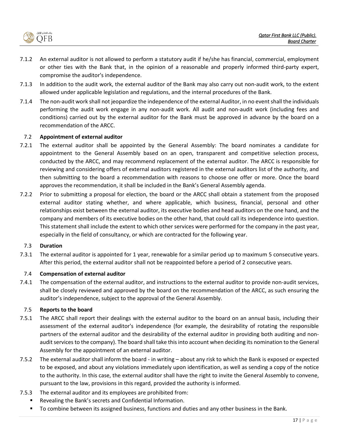

- 7.1.2 An external auditor is not allowed to perform a statutory audit if he/she has financial, commercial, employment or other ties with the Bank that, in the opinion of a reasonable and properly informed third-party expert, compromise the auditor's independence.
- 7.1.3 In addition to the audit work, the external auditor of the Bank may also carry out non-audit work, to the extent allowed under applicable legislation and regulations, and the internal procedures of the Bank.
- 7.1.4 The non-audit work shall not jeopardize the independence of the external Auditor, in no event shall the individuals performing the audit work engage in any non-audit work. All audit and non-audit work (including fees and conditions) carried out by the external auditor for the Bank must be approved in advance by the board on a recommendation of the ARCC.

#### 7.2 **Appointment of external auditor**

- 7.2.1 The external auditor shall be appointed by the General Assembly: The board nominates a candidate for appointment to the General Assembly based on an open, transparent and competitive selection process, conducted by the ARCC, and may recommend replacement of the external auditor. The ARCC is responsible for reviewing and considering offers of external auditors registered in the external auditors list of the authority, and then submitting to the board a recommendation with reasons to choose one offer or more. Once the board approves the recommendation, it shall be included in the Bank's General Assembly agenda.
- 7.2.2 Prior to submitting a proposal for election, the board or the ARCC shall obtain a statement from the proposed external auditor stating whether, and where applicable, which business, financial, personal and other relationships exist between the external auditor, its executive bodies and head auditors on the one hand, and the company and members of its executive bodies on the other hand, that could call its independence into question. This statement shall include the extent to which other services were performed for the company in the past year, especially in the field of consultancy, or which are contracted for the following year.

## 7.3 **Duration**

7.3.1 The external auditor is appointed for 1 year, renewable for a similar period up to maximum 5 consecutive years. After this period, the external auditor shall not be reappointed before a period of 2 consecutive years.

## 7.4 **Compensation of external auditor**

7.4.1 The compensation of the external auditor, and instructions to the external auditor to provide non-audit services, shall be closely reviewed and approved by the board on the recommendation of the ARCC, as such ensuring the auditor's independence, subject to the approval of the General Assembly.

## 7.5 **Reports to the board**

- 7.5.1 The ARCC shall report their dealings with the external auditor to the board on an annual basis, including their assessment of the external auditor's independence (for example, the desirability of rotating the responsible partners of the external auditor and the desirability of the external auditor in providing both auditing and nonaudit services to the company). The board shall take this into account when deciding its nomination to the General Assembly for the appointment of an external auditor.
- 7.5.2 The external auditor shall inform the board in writing about any risk to which the Bank is exposed or expected to be exposed, and about any violations immediately upon identification, as well as sending a copy of the notice to the authority. In this case, the external auditor shall have the right to invite the General Assembly to convene, pursuant to the law, provisions in this regard, provided the authority is informed.
- 7.5.3 The external auditor and its employees are prohibited from:
	- Revealing the Bank's secrets and Confidential Information.
	- To combine between its assigned business, functions and duties and any other business in the Bank.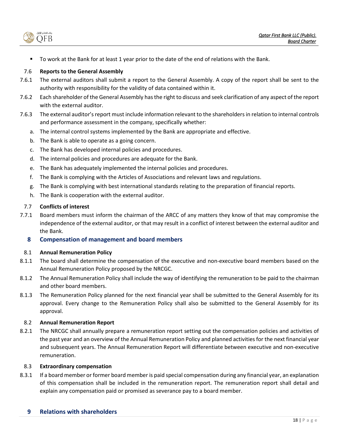بنك قطر الأول OFB

To work at the Bank for at least 1 year prior to the date of the end of relations with the Bank.

## 7.6 **Reports to the General Assembly**

- 7.6.1 The external auditors shall submit a report to the General Assembly. A copy of the report shall be sent to the authority with responsibility for the validity of data contained within it.
- 7.6.2 Each shareholder of the General Assembly has the right to discuss and seek clarification of any aspect of the report with the external auditor.
- 7.6.3 The external auditor's report must include information relevant to the shareholders in relation to internal controls and performance assessment in the company, specifically whether:
	- a. The internal control systems implemented by the Bank are appropriate and effective.
	- b. The Bank is able to operate as a going concern.
	- c. The Bank has developed internal policies and procedures.
	- d. The internal policies and procedures are adequate for the Bank.
	- e. The Bank has adequately implemented the internal policies and procedures.
	- f. The Bank is complying with the Articles of Associations and relevant laws and regulations.
	- g. The Bank is complying with best international standards relating to the preparation of financial reports.
	- h. The Bank is cooperation with the external auditor.

## 7.7 **Conflicts of interest**

7.7.1 Board members must inform the chairman of the ARCC of any matters they know of that may compromise the independence of the external auditor, or that may result in a conflict of interest between the external auditor and the Bank.

## <span id="page-17-0"></span>**8 Compensation of management and board members**

## 8.1 **Annual Remuneration Policy**

- 8.1.1 The board shall determine the compensation of the executive and non-executive board members based on the Annual Remuneration Policy proposed by the NRCGC.
- 8.1.2 The Annual Remuneration Policy shall include the way of identifying the remuneration to be paid to the chairman and other board members.
- 8.1.3 The Remuneration Policy planned for the next financial year shall be submitted to the General Assembly for its approval. Every change to the Remuneration Policy shall also be submitted to the General Assembly for its approval.

## 8.2 **Annual Remuneration Report**

8.2.1 The NRCGC shall annually prepare a remuneration report setting out the compensation policies and activities of the past year and an overview of the Annual Remuneration Policy and planned activities for the next financial year and subsequent years. The Annual Remuneration Report will differentiate between executive and non-executive remuneration.

## 8.3 **Extraordinary compensation**

<span id="page-17-1"></span>8.3.1 If a board member or former board member is paid special compensation during any financial year, an explanation of this compensation shall be included in the remuneration report. The remuneration report shall detail and explain any compensation paid or promised as severance pay to a board member.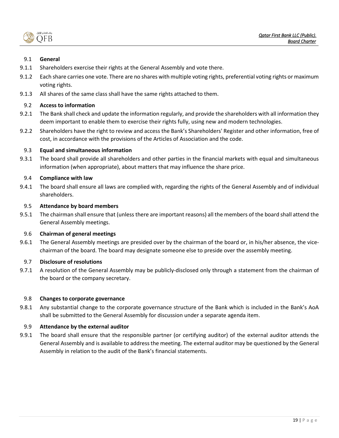بناف قطء الأماء OFB

## 9.1 **General**

- 9.1.1 Shareholders exercise their rights at the General Assembly and vote there.
- 9.1.2 Each share carries one vote. There are no shares with multiple voting rights, preferential voting rights or maximum voting rights.
- 9.1.3 All shares of the same class shall have the same rights attached to them.

## 9.2 **Access to information**

- 9.2.1 The Bank shall check and update the information regularly, and provide the shareholders with all information they deem important to enable them to exercise their rights fully, using new and modern technologies.
- 9.2.2 Shareholders have the right to review and access the Bank's Shareholders' Register and other information, free of cost, in accordance with the provisions of the Articles of Association and the code.

## 9.3 **Equal and simultaneous information**

9.3.1 The board shall provide all shareholders and other parties in the financial markets with equal and simultaneous information (when appropriate), about matters that may influence the share price.

## 9.4 **Compliance with law**

9.4.1 The board shall ensure all laws are complied with, regarding the rights of the General Assembly and of individual shareholders.

## 9.5 **Attendance by board members**

9.5.1 The chairman shall ensure that (unless there are important reasons) all the members of the board shall attend the General Assembly meetings.

## 9.6 **Chairman of general meetings**

9.6.1 The General Assembly meetings are presided over by the chairman of the board or, in his/her absence, the vicechairman of the board. The board may designate someone else to preside over the assembly meeting.

## 9.7 **Disclosure of resolutions**

9.7.1 A resolution of the General Assembly may be publicly-disclosed only through a statement from the chairman of the board or the company secretary.

## 9.8 **Changes to corporate governance**

9.8.1 Any substantial change to the corporate governance structure of the Bank which is included in the Bank's AoA shall be submitted to the General Assembly for discussion under a separate agenda item.

## 9.9 **Attendance by the external auditor**

9.9.1 The board shall ensure that the responsible partner (or certifying auditor) of the external auditor attends the General Assembly and is available to address the meeting. The external auditor may be questioned by the General Assembly in relation to the audit of the Bank's financial statements.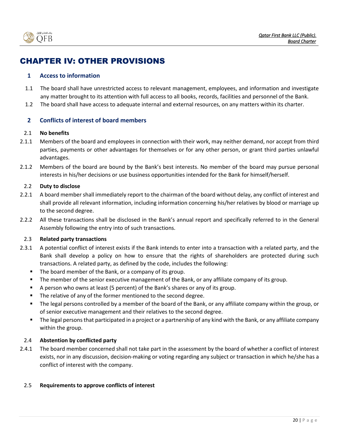

## <span id="page-19-0"></span>CHAPTER IV: OTHER PROVISIONS

## <span id="page-19-1"></span>**1 Access to information**

- 1.1 The board shall have unrestricted access to relevant management, employees, and information and investigate any matter brought to its attention with full access to all books, records, facilities and personnel of the Bank.
- 1.2 The board shall have access to adequate internal and external resources, on any matters within its charter.

## <span id="page-19-2"></span>**2 Conflicts of interest of board members**

## 2.1 **No benefits**

- 2.1.1 Members of the board and employees in connection with their work, may neither demand, nor accept from third parties, payments or other advantages for themselves or for any other person, or grant third parties unlawful advantages.
- 2.1.2 Members of the board are bound by the Bank's best interests. No member of the board may pursue personal interests in his/her decisions or use business opportunities intended for the Bank for himself/herself.

## 2.2 **Duty to disclose**

- 2.2.1 A board member shall immediately report to the chairman of the board without delay, any conflict of interest and shall provide all relevant information, including information concerning his/her relatives by blood or marriage up to the second degree.
- 2.2.2 All these transactions shall be disclosed in the Bank's annual report and specifically referred to in the General Assembly following the entry into of such transactions.

## 2.3 **Related party transactions**

- 2.3.1 A potential conflict of interest exists if the Bank intends to enter into a transaction with a related party, and the Bank shall develop a policy on how to ensure that the rights of shareholders are protected during such transactions. A related party, as defined by the code, includes the following:
	- The board member of the Bank, or a company of its group.
	- **•** The member of the senior executive management of the Bank, or any affiliate company of its group.
	- A person who owns at least (5 percent) of the Bank's shares or any of its group.
	- The relative of any of the former mentioned to the second degree.
	- The legal persons controlled by a member of the board of the Bank, or any affiliate company within the group, or of senior executive management and their relatives to the second degree.
	- The legal persons that participated in a project or a partnership of any kind with the Bank, or any affiliate company within the group.

## 2.4 **Abstention by conflicted party**

2.4.1 The board member concerned shall not take part in the assessment by the board of whether a conflict of interest exists, nor in any discussion, decision-making or voting regarding any subject or transaction in which he/she has a conflict of interest with the company.

#### 2.5 **Requirements to approve conflicts of interest**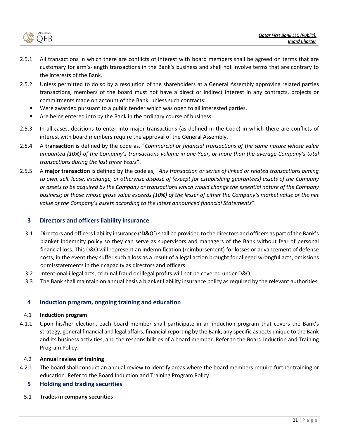

- 2.5.1 All transactions in which there are conflicts of interest with board members shall be agreed on terms that are customary for arm's-length transactions in the Bank's business and shall not involve terms that are contrary to the interests of the Bank.
- 2.5.2 Unless permitted to do so by a resolution of the shareholders at a General Assembly approving related parties transactions, members of the board must not have a direct or indirect interest in any contracts, projects or commitments made on account of the Bank, unless such contracts:
	- Were awarded pursuant to a public tender which was open to all interested parties.
	- Are being entered into by the Bank in the ordinary course of business.
- 2.5.3 In all cases, decisions to enter into major transactions (as defined in the Code) in which there are conflicts of interest with board members require the approval of the General Assembly.
- 2.5.4 A **transaction** is defined by the code as, "*Commercial or financial transactions of the same nature whose value amounted (10%) of the Company's transactions volume in one Year, or more than the average Company's total transactions during the last three Years*".
- 2.5.5 A **major transaction** is defined by the code as, "*Any transaction or series of linked or related transactions aiming to own, sell, lease, exchange, or otherwise dispose of (except for establishing guarantees) assets of the Company or assets to be acquired by the Company or transactions which would change the essential nature of the Company business; or those whose gross value exceeds (10%) of the lesser of either the Company's market value or the net value of the Company's assets according to the latest announced financial Statements*".

## <span id="page-20-0"></span>**3 Directors and officers liability insurance**

- 3.1 Directors and officers liability insurance ('**D&O**') shall be provided to the directors and officers as part of the Bank's blanket indemnity policy so they can serve as supervisors and managers of the Bank without fear of personal financial loss. This D&O will represent an indemnification (reimbursement) for losses or advancement of defense costs, in the event they suffer such a loss as a result of a legal action brought for alleged wrongful acts, omissions or misstatements in their capacity as directors and officers.
- 3.2 Intentional illegal acts, criminal fraud or illegal profits will not be covered under D&O.
- 3.3 The Bank shall maintain on annual basis a blanket liability insurance policy as required by the relevant authorities.

## <span id="page-20-1"></span>**4 Induction program, ongoing training and education**

#### 4.1 **Induction program**

4.1.1 Upon his/her election, each board member shall participate in an induction program that covers the Bank's strategy, general financial and legal affairs, financial reporting by the Bank, any specific aspects unique to the Bank and its business activities, and the responsibilities of a board member. Refer to the Board Induction and Training Program Policy.

## 4.2 **Annual review of training**

4.2.1 The board shall conduct an annual review to identify areas where the board members require further training or education. Refer to the Board Induction and Training Program Policy.

## <span id="page-20-2"></span>**5 Holding and trading securities**

5.1 **Trades in company securities**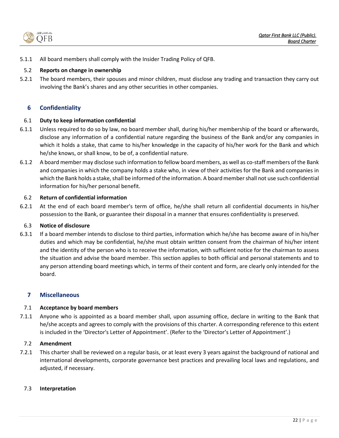

5.1.1 All board members shall comply with the Insider Trading Policy of QFB.

## 5.2 **Reports on change in ownership**

5.2.1 The board members, their spouses and minor children, must disclose any trading and transaction they carry out involving the Bank's shares and any other securities in other companies.

## <span id="page-21-0"></span>**6 Confidentiality**

## 6.1 **Duty to keep information confidential**

- 6.1.1 Unless required to do so by law, no board member shall, during his/her membership of the board or afterwards, disclose any information of a confidential nature regarding the business of the Bank and/or any companies in which it holds a stake, that came to his/her knowledge in the capacity of his/her work for the Bank and which he/she knows, or shall know, to be of, a confidential nature.
- 6.1.2 A board member may disclose such information to fellow board members, as well as co-staff members of the Bank and companies in which the company holds a stake who, in view of their activities for the Bank and companies in which the Bank holds a stake, shall be informed of the information. A board membershall not use such confidential information for his/her personal benefit.

## 6.2 **Return of confidential information**

6.2.1 At the end of each board member's term of office, he/she shall return all confidential documents in his/her possession to the Bank, or guarantee their disposal in a manner that ensures confidentiality is preserved.

## 6.3 **Notice of disclosure**

6.3.1 If a board member intends to disclose to third parties, information which he/she has become aware of in his/her duties and which may be confidential, he/she must obtain written consent from the chairman of his/her intent and the identity of the person who is to receive the information, with sufficient notice for the chairman to assess the situation and advise the board member. This section applies to both official and personal statements and to any person attending board meetings which, in terms of their content and form, are clearly only intended for the board.

## <span id="page-21-1"></span>**7 Miscellaneous**

## 7.1 **Acceptance by board members**

7.1.1 Anyone who is appointed as a board member shall, upon assuming office, declare in writing to the Bank that he/she accepts and agrees to comply with the provisions of this charter. A corresponding reference to this extent is included in the 'Director's Letter of Appointment'. (Refer to the 'Director's Letter of Appointment'.)

## 7.2 **Amendment**

7.2.1 This charter shall be reviewed on a regular basis, or at least every 3 years against the background of national and international developments, corporate governance best practices and prevailing local laws and regulations, and adjusted, if necessary.

## 7.3 **Interpretation**